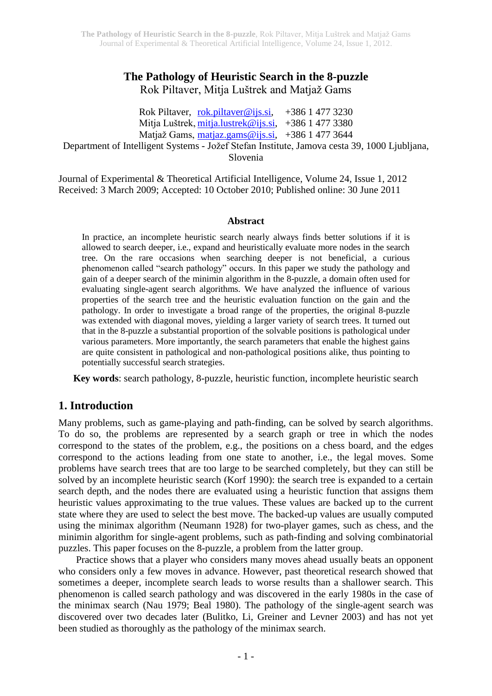# **The Pathology of Heuristic Search in the 8-puzzle** Rok Piltaver, Mitja Luštrek and Matjaž Gams

Rok Piltaver, [rok.piltaver@ijs.si,](mailto:rok.piltaver@ijs.si) +386 1 477 3230 Mitja Luštrek, [mitja.lustrek@ijs.si,](mailto:mitja.lustrek@ijs.si) +386 1 477 3380 Matjaž Gams, [matjaz.gams@ijs.si,](mailto:matjaz.gams@ijs.si) +386 1 477 3644 Department of Intelligent Systems - Jožef Stefan Institute, Jamova cesta 39, 1000 Ljubljana, Slovenia

Journal of Experimental & Theoretical Artificial Intelligence, Volume 24, Issue 1, 2012 Received: 3 March 2009; Accepted: 10 October 2010; Published online: 30 June 2011

### **Abstract**

In practice, an incomplete heuristic search nearly always finds better solutions if it is allowed to search deeper, i.e., expand and heuristically evaluate more nodes in the search tree. On the rare occasions when searching deeper is not beneficial, a curious phenomenon called "search pathology" occurs. In this paper we study the pathology and gain of a deeper search of the minimin algorithm in the 8-puzzle, a domain often used for evaluating single-agent search algorithms. We have analyzed the influence of various properties of the search tree and the heuristic evaluation function on the gain and the pathology. In order to investigate a broad range of the properties, the original 8-puzzle was extended with diagonal moves, yielding a larger variety of search trees. It turned out that in the 8-puzzle a substantial proportion of the solvable positions is pathological under various parameters. More importantly, the search parameters that enable the highest gains are quite consistent in pathological and non-pathological positions alike, thus pointing to potentially successful search strategies.

**Key words**: search pathology, 8-puzzle, heuristic function, incomplete heuristic search

## **1. Introduction**

Many problems, such as game-playing and path-finding, can be solved by search algorithms. To do so, the problems are represented by a search graph or tree in which the nodes correspond to the states of the problem, e.g., the positions on a chess board, and the edges correspond to the actions leading from one state to another, i.e., the legal moves. Some problems have search trees that are too large to be searched completely, but they can still be solved by an incomplete heuristic search (Korf 1990): the search tree is expanded to a certain search depth, and the nodes there are evaluated using a heuristic function that assigns them heuristic values approximating to the true values. These values are backed up to the current state where they are used to select the best move. The backed-up values are usually computed using the minimax algorithm (Neumann 1928) for two-player games, such as chess, and the minimin algorithm for single-agent problems, such as path-finding and solving combinatorial puzzles. This paper focuses on the 8-puzzle, a problem from the latter group.

Practice shows that a player who considers many moves ahead usually beats an opponent who considers only a few moves in advance. However, past theoretical research showed that sometimes a deeper, incomplete search leads to worse results than a shallower search. This phenomenon is called search pathology and was discovered in the early 1980s in the case of the minimax search (Nau 1979; Beal 1980). The pathology of the single-agent search was discovered over two decades later (Bulitko, Li, Greiner and Levner 2003) and has not yet been studied as thoroughly as the pathology of the minimax search.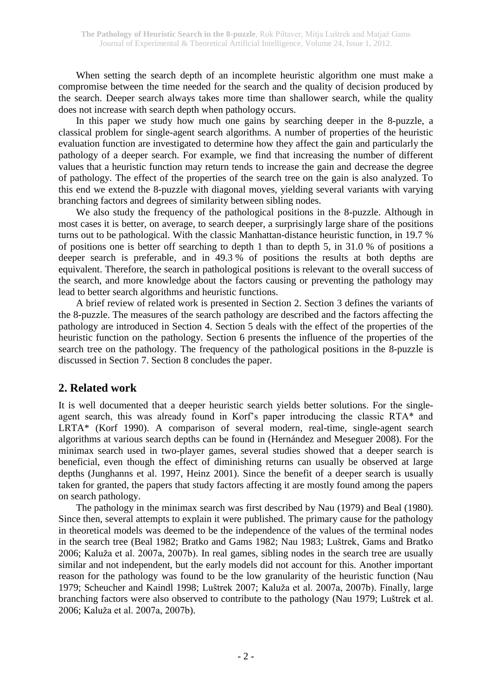When setting the search depth of an incomplete heuristic algorithm one must make a compromise between the time needed for the search and the quality of decision produced by the search. Deeper search always takes more time than shallower search, while the quality does not increase with search depth when pathology occurs.

In this paper we study how much one gains by searching deeper in the 8-puzzle, a classical problem for single-agent search algorithms. A number of properties of the heuristic evaluation function are investigated to determine how they affect the gain and particularly the pathology of a deeper search. For example, we find that increasing the number of different values that a heuristic function may return tends to increase the gain and decrease the degree of pathology. The effect of the properties of the search tree on the gain is also analyzed. To this end we extend the 8-puzzle with diagonal moves, yielding several variants with varying branching factors and degrees of similarity between sibling nodes.

We also study the frequency of the pathological positions in the 8-puzzle. Although in most cases it is better, on average, to search deeper, a surprisingly large share of the positions turns out to be pathological. With the classic Manhattan-distance heuristic function, in 19.7 % of positions one is better off searching to depth 1 than to depth 5, in 31.0 % of positions a deeper search is preferable, and in 49.3 % of positions the results at both depths are equivalent. Therefore, the search in pathological positions is relevant to the overall success of the search, and more knowledge about the factors causing or preventing the pathology may lead to better search algorithms and heuristic functions.

A brief review of related work is presented in Section 2. Section 3 defines the variants of the 8-puzzle. The measures of the search pathology are described and the factors affecting the pathology are introduced in Section 4. Section 5 deals with the effect of the properties of the heuristic function on the pathology. Section 6 presents the influence of the properties of the search tree on the pathology. The frequency of the pathological positions in the 8-puzzle is discussed in Section 7. Section 8 concludes the paper.

# **2. Related work**

It is well documented that a deeper heuristic search yields better solutions. For the singleagent search, this was already found in Korf's paper introducing the classic RTA\* and LRTA\* (Korf 1990). A comparison of several modern, real-time, single-agent search algorithms at various search depths can be found in (Hernández and Meseguer 2008). For the minimax search used in two-player games, several studies showed that a deeper search is beneficial, even though the effect of diminishing returns can usually be observed at large depths (Junghanns et al. 1997, Heinz 2001). Since the benefit of a deeper search is usually taken for granted, the papers that study factors affecting it are mostly found among the papers on search pathology.

The pathology in the minimax search was first described by Nau (1979) and Beal (1980). Since then, several attempts to explain it were published. The primary cause for the pathology in theoretical models was deemed to be the independence of the values of the terminal nodes in the search tree (Beal 1982; Bratko and Gams 1982; Nau 1983; Luštrek, Gams and Bratko 2006; Kaluža et al. 2007a, 2007b). In real games, sibling nodes in the search tree are usually similar and not independent, but the early models did not account for this. Another important reason for the pathology was found to be the low granularity of the heuristic function (Nau 1979; Scheucher and Kaindl 1998; Luštrek 2007; Kaluža et al. 2007a, 2007b). Finally, large branching factors were also observed to contribute to the pathology (Nau 1979; Luštrek et al. 2006; Kaluža et al. 2007a, 2007b).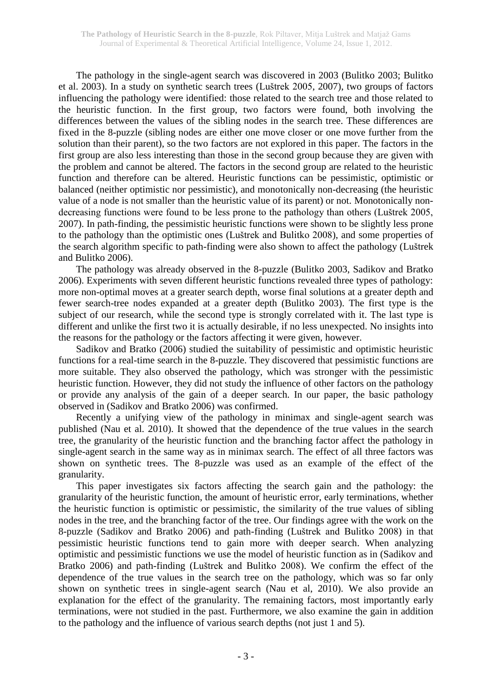The pathology in the single-agent search was discovered in 2003 (Bulitko 2003; Bulitko et al. 2003). In a study on synthetic search trees (Luštrek 2005, 2007), two groups of factors influencing the pathology were identified: those related to the search tree and those related to the heuristic function. In the first group, two factors were found, both involving the differences between the values of the sibling nodes in the search tree. These differences are fixed in the 8-puzzle (sibling nodes are either one move closer or one move further from the solution than their parent), so the two factors are not explored in this paper. The factors in the first group are also less interesting than those in the second group because they are given with the problem and cannot be altered. The factors in the second group are related to the heuristic function and therefore can be altered. Heuristic functions can be pessimistic, optimistic or balanced (neither optimistic nor pessimistic), and monotonically non-decreasing (the heuristic value of a node is not smaller than the heuristic value of its parent) or not. Monotonically nondecreasing functions were found to be less prone to the pathology than others (Luštrek 2005, 2007). In path-finding, the pessimistic heuristic functions were shown to be slightly less prone to the pathology than the optimistic ones (Luštrek and Bulitko 2008), and some properties of the search algorithm specific to path-finding were also shown to affect the pathology (Luštrek and Bulitko 2006).

The pathology was already observed in the 8-puzzle (Bulitko 2003, Sadikov and Bratko 2006). Experiments with seven different heuristic functions revealed three types of pathology: more non-optimal moves at a greater search depth, worse final solutions at a greater depth and fewer search-tree nodes expanded at a greater depth (Bulitko 2003). The first type is the subject of our research, while the second type is strongly correlated with it. The last type is different and unlike the first two it is actually desirable, if no less unexpected. No insights into the reasons for the pathology or the factors affecting it were given, however.

Sadikov and Bratko (2006) studied the suitability of pessimistic and optimistic heuristic functions for a real-time search in the 8-puzzle. They discovered that pessimistic functions are more suitable. They also observed the pathology, which was stronger with the pessimistic heuristic function. However, they did not study the influence of other factors on the pathology or provide any analysis of the gain of a deeper search. In our paper, the basic pathology observed in (Sadikov and Bratko 2006) was confirmed.

Recently a unifying view of the pathology in minimax and single-agent search was published (Nau et al. 2010). It showed that the dependence of the true values in the search tree, the granularity of the heuristic function and the branching factor affect the pathology in single-agent search in the same way as in minimax search. The effect of all three factors was shown on synthetic trees. The 8-puzzle was used as an example of the effect of the granularity.

This paper investigates six factors affecting the search gain and the pathology: the granularity of the heuristic function, the amount of heuristic error, early terminations, whether the heuristic function is optimistic or pessimistic, the similarity of the true values of sibling nodes in the tree, and the branching factor of the tree. Our findings agree with the work on the 8-puzzle (Sadikov and Bratko 2006) and path-finding (Luštrek and Bulitko 2008) in that pessimistic heuristic functions tend to gain more with deeper search. When analyzing optimistic and pessimistic functions we use the model of heuristic function as in (Sadikov and Bratko 2006) and path-finding (Luštrek and Bulitko 2008). We confirm the effect of the dependence of the true values in the search tree on the pathology, which was so far only shown on synthetic trees in single-agent search (Nau et al, 2010). We also provide an explanation for the effect of the granularity. The remaining factors, most importantly early terminations, were not studied in the past. Furthermore, we also examine the gain in addition to the pathology and the influence of various search depths (not just 1 and 5).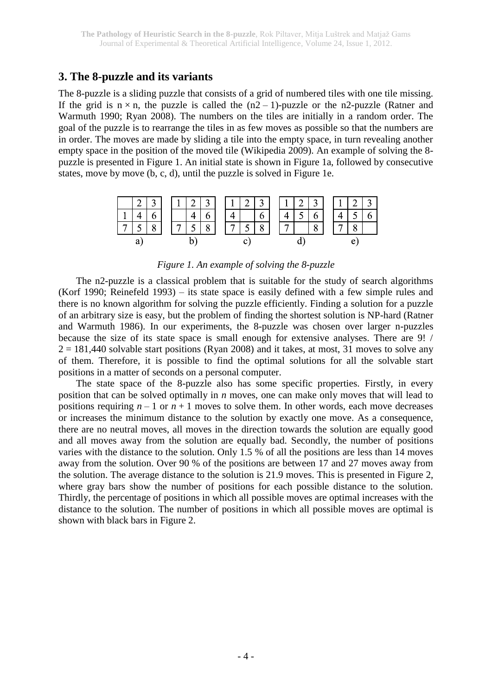## **3. The 8-puzzle and its variants**

The 8-puzzle is a sliding puzzle that consists of a grid of numbered tiles with one tile missing. If the grid is  $n \times n$ , the puzzle is called the  $(n2 - 1)$ -puzzle or the n2-puzzle (Ratner and Warmuth 1990; Ryan 2008). The numbers on the tiles are initially in a random order. The goal of the puzzle is to rearrange the tiles in as few moves as possible so that the numbers are in order. The moves are made by sliding a tile into the empty space, in turn revealing another empty space in the position of the moved tile (Wikipedia 2009). An example of solving the 8 puzzle is presented in Figure 1. An initial state is shown in Figure 1a, followed by consecutive states, move by move (b, c, d), until the puzzle is solved in Figure 1e.



### *Figure 1. An example of solving the 8-puzzle*

The n2-puzzle is a classical problem that is suitable for the study of search algorithms (Korf 1990; Reinefeld 1993) – its state space is easily defined with a few simple rules and there is no known algorithm for solving the puzzle efficiently. Finding a solution for a puzzle of an arbitrary size is easy, but the problem of finding the shortest solution is NP-hard (Ratner and Warmuth 1986). In our experiments, the 8-puzzle was chosen over larger n-puzzles because the size of its state space is small enough for extensive analyses. There are 9! /  $2 = 181,440$  solvable start positions (Ryan 2008) and it takes, at most, 31 moves to solve any of them. Therefore, it is possible to find the optimal solutions for all the solvable start positions in a matter of seconds on a personal computer.

The state space of the 8-puzzle also has some specific properties. Firstly, in every position that can be solved optimally in *n* moves, one can make only moves that will lead to positions requiring  $n-1$  or  $n+1$  moves to solve them. In other words, each move decreases or increases the minimum distance to the solution by exactly one move. As a consequence, there are no neutral moves, all moves in the direction towards the solution are equally good and all moves away from the solution are equally bad. Secondly, the number of positions varies with the distance to the solution. Only 1.5 % of all the positions are less than 14 moves away from the solution. Over 90 % of the positions are between 17 and 27 moves away from the solution. The average distance to the solution is 21.9 moves. This is presented in Figure 2, where gray bars show the number of positions for each possible distance to the solution. Thirdly, the percentage of positions in which all possible moves are optimal increases with the distance to the solution. The number of positions in which all possible moves are optimal is shown with black bars in Figure 2.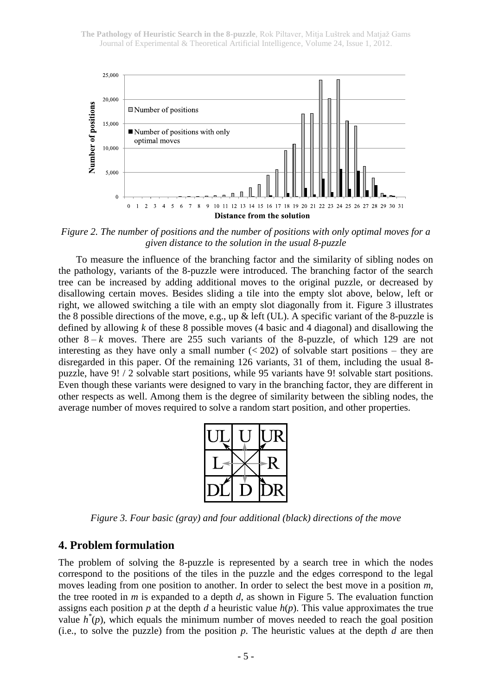

*Figure 2. The number of positions and the number of positions with only optimal moves for a given distance to the solution in the usual 8-puzzle*

To measure the influence of the branching factor and the similarity of sibling nodes on the pathology, variants of the 8-puzzle were introduced. The branching factor of the search tree can be increased by adding additional moves to the original puzzle, or decreased by disallowing certain moves. Besides sliding a tile into the empty slot above, below, left or right, we allowed switching a tile with an empty slot diagonally from it. Figure 3 illustrates the 8 possible directions of the move, e.g., up & left (UL). A specific variant of the 8-puzzle is defined by allowing *k* of these 8 possible moves (4 basic and 4 diagonal) and disallowing the other  $8 - k$  moves. There are 255 such variants of the 8-puzzle, of which 129 are not interesting as they have only a small number  $( $202$ ) of solvable start positions – they are$ disregarded in this paper. Of the remaining 126 variants, 31 of them, including the usual 8 puzzle, have 9! / 2 solvable start positions, while 95 variants have 9! solvable start positions. Even though these variants were designed to vary in the branching factor, they are different in other respects as well. Among them is the degree of similarity between the sibling nodes, the average number of moves required to solve a random start position, and other properties.



*Figure 3. Four basic (gray) and four additional (black) directions of the move*

#### **4. Problem formulation**

The problem of solving the 8-puzzle is represented by a search tree in which the nodes correspond to the positions of the tiles in the puzzle and the edges correspond to the legal moves leading from one position to another. In order to select the best move in a position *m*, the tree rooted in *m* is expanded to a depth *d*, as shown in Figure 5. The evaluation function assigns each position  $p$  at the depth  $d$  a heuristic value  $h(p)$ . This value approximates the true value  $h^*(p)$ , which equals the minimum number of moves needed to reach the goal position (i.e., to solve the puzzle) from the position *p*. The heuristic values at the depth *d* are then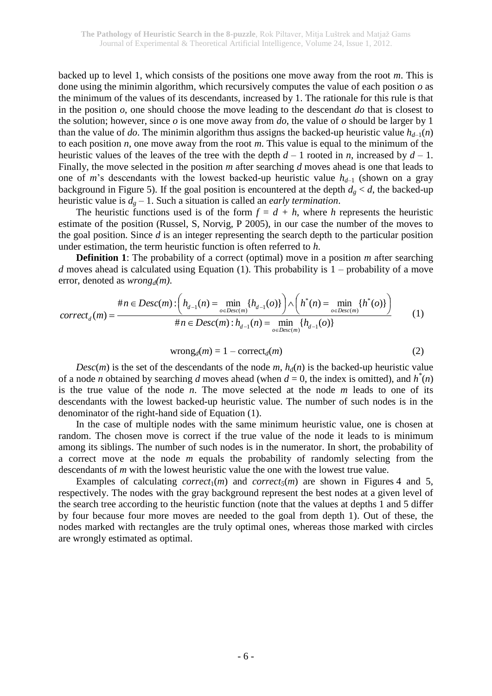backed up to level 1, which consists of the positions one move away from the root *m*. This is done using the minimin algorithm, which recursively computes the value of each position *o* as the minimum of the values of its descendants, increased by 1. The rationale for this rule is that in the position *o*, one should choose the move leading to the descendant *do* that is closest to the solution; however, since *o* is one move away from *do*, the value of *o* should be larger by 1 than the value of *do*. The minimin algorithm thus assigns the backed-up heuristic value  $h_{d-1}(n)$ to each position *n*, one move away from the root *m*. This value is equal to the minimum of the heuristic values of the leaves of the tree with the depth  $d-1$  rooted in *n*, increased by  $d-1$ . Finally, the move selected in the position *m* after searching *d* moves ahead is one that leads to one of *m*'s descendants with the lowest backed-up heuristic value  $h_{d-1}$  (shown on a gray background in Figure 5). If the goal position is encountered at the depth  $d_g < d$ , the backed-up heuristic value is  $d_g - 1$ . Such a situation is called an *early termination*.

The heuristic functions used is of the form  $f = d + h$ , where *h* represents the heuristic estimate of the position (Russel, S, Norvig, P 2005), in our case the number of the moves to the goal position. Since *d* is an integer representing the search depth to the particular position under estimation, the term heuristic function is often referred to *h*.

**Definition 1**: The probability of a correct (optimal) move in a position *m* after searching *d* moves ahead is calculated using Equation (1). This probability is 1 – probability of a move error, denoted as *wrongd(m)*.

$$
correct_{d}(m) = \frac{\#n \in Desc(m) : \left(h_{d-1}(n) = \min_{o \in Desc(m)}\{h_{d-1}(o)\}\right) \wedge \left(h^{*}(n) = \min_{o \in Desc(m)}\{h^{*}(o)\}\right)}{\#n \in Desc(m) : h_{d-1}(n) = \min_{o \in Desc(m)}\{h_{d-1}(o)\}} \qquad (1)
$$

$$
wrongd(m) = 1 - correctd(m)
$$
 (2)

*Desc*(*m*) is the set of the descendants of the node *m*,  $h_d(n)$  is the backed-up heuristic value of a node *n* obtained by searching *d* moves ahead (when  $d = 0$ , the index is omitted), and  $h^*(n)$ is the true value of the node *n*. The move selected at the node *m* leads to one of its descendants with the lowest backed-up heuristic value. The number of such nodes is in the denominator of the right-hand side of Equation (1).

In the case of multiple nodes with the same minimum heuristic value, one is chosen at random. The chosen move is correct if the true value of the node it leads to is minimum among its siblings. The number of such nodes is in the numerator. In short, the probability of a correct move at the node *m* equals the probability of randomly selecting from the descendants of *m* with the lowest heuristic value the one with the lowest true value.

Examples of calculating *correct*<sub>1</sub>(*m*) and *correct<sub>5</sub>*(*m*) are shown in Figures 4 and 5, respectively. The nodes with the gray background represent the best nodes at a given level of the search tree according to the heuristic function (note that the values at depths 1 and 5 differ by four because four more moves are needed to the goal from depth 1). Out of these, the nodes marked with rectangles are the truly optimal ones, whereas those marked with circles are wrongly estimated as optimal.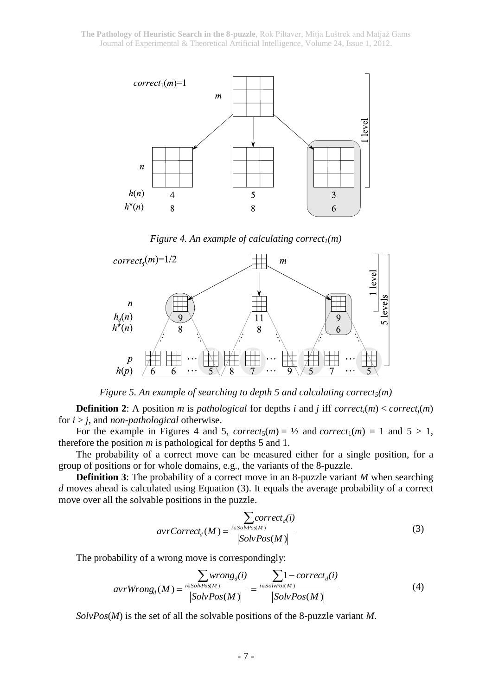

*Figure 4. An example of calculating correct1(m)*



*Figure 5. An example of searching to depth 5 and calculating correct5(m)*

**Definition 2**: A position *m* is *pathological* for depths *i* and *j* iff *correct<sub>i</sub></sub>(<i>m*) < *correct<sub>i</sub></sub>(<i>m*) for *i* > *j*, and *non-pathological* otherwise.

For the example in Figures 4 and 5,  $correct_5(m) = \frac{1}{2}$  and  $correct_1(m) = 1$  and  $5 > 1$ , therefore the position *m* is pathological for depths 5 and 1.

The probability of a correct move can be measured either for a single position, for a group of positions or for whole domains, e.g., the variants of the 8-puzzle.

**Definition 3**: The probability of a correct move in an 8-puzzle variant *M* when searching *d* moves ahead is calculated using Equation (3). It equals the average probability of a correct move over all the solvable positions in the puzzle.

$$
avrCorrect_d(M) = \frac{\sum_{i \in SolvPos(M)} correct_d(i)}{|SolvPos(M)|}
$$
(3)

The probability of a wrong move is correspondingly:

$$
avrWrong_d(M) = \frac{\sum_{i \in SolvPos(M)} wrong_d(i)}{|SolvPos(M)|} = \frac{\sum_{i \in SolvPos(M)} 1-correct_d(i)}{|SolvPos(M)|}
$$
(4)

*SolvPos*(*M*) is the set of all the solvable positions of the 8-puzzle variant *M*.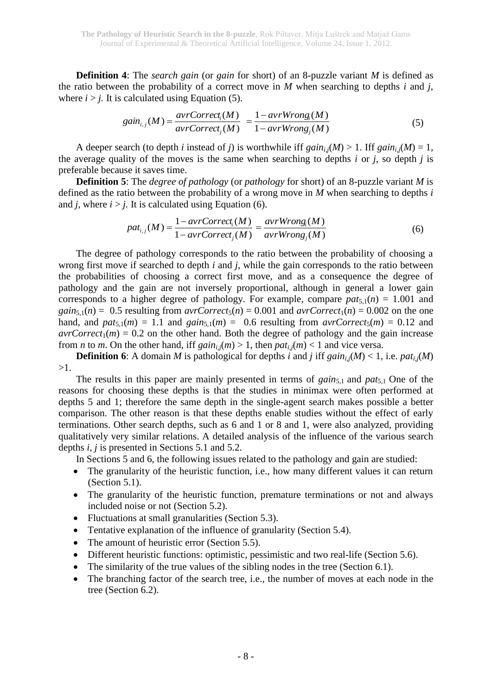**Definition 4**: The *search gain* (or *gain* for short) of an 8-puzzle variant *M* is defined as the ratio between the probability of a correct move in *M* when searching to depths *i* and *j*, where  $i > j$ . It is calculated using Equation (5).

$$
gain_{i,j}(M) = \frac{avrCorrect_i(M)}{avrCorrect_j(M)} = \frac{1 - avrWrong_i(M)}{1 - avrWrong_j(M)}
$$
(5)

A deeper search (to depth *i* instead of *j*) is worthwhile iff  $gain_{i,j}(M) > 1$ . Iff  $gain_{i,j}(M) = 1$ , the average quality of the moves is the same when searching to depths *i* or *j*, so depth *j* is preferable because it saves time.

**Definition 5**: The *degree of pathology* (or *pathology* for short) of an 8-puzzle variant *M* is defined as the ratio between the probability of a wrong move in *M* when searching to depths *i* and *j*, where  $i > j$ . It is calculated using Equation (6).

$$
pat_{i,j}(M) = \frac{1 - avrCorrect_i(M)}{1 - avrCorrect_j(M)} = \frac{avrWrong_i(M)}{avrWrong_j(M)}
$$
(6)

The degree of pathology corresponds to the ratio between the probability of choosing a wrong first move if searched to depth *i* and *j*, while the gain corresponds to the ratio between the probabilities of choosing a correct first move, and as a consequence the degree of pathology and the gain are not inversely proportional, although in general a lower gain corresponds to a higher degree of pathology. For example, compare  $pat_{5,1}(n) = 1.001$  and *gain*<sub>5,1</sub>(*n*) = 0.5 resulting from *avrCorrect*<sub>5</sub>(*n*) = 0.001 and *avrCorrect*<sub>1</sub>(*n*) = 0.002 on the one hand, and  $pat_{5,1}(m) = 1.1$  and  $gain_{5,1}(m) = 0.6$  resulting from  $avrCorrect_{5}(m) = 0.12$  and  $\arccos(1/m) = 0.2$  on the other hand. Both the degree of pathology and the gain increase from *n* to *m*. On the other hand, iff  $gain_i(m) > 1$ , then  $pat_i_i(m) < 1$  and vice versa.

**Definition 6**: A domain *M* is pathological for depths *i* and *j* iff  $gain_{i,j}(M) < 1$ , i.e.  $pat_{i,j}(M)$ >1.

The results in this paper are mainly presented in terms of *gain*<sub>5,1</sub> and *pat*<sub>5,1</sub> One of the reasons for choosing these depths is that the studies in minimax were often performed at depths 5 and 1; therefore the same depth in the single-agent search makes possible a better comparison. The other reason is that these depths enable studies without the effect of early terminations. Other search depths, such as 6 and 1 or 8 and 1, were also analyzed, providing qualitatively very similar relations. A detailed analysis of the influence of the various search depths *i, j* is presented in Sections 5.1 and 5.2.

In Sections 5 and 6, the following issues related to the pathology and gain are studied:

- The granularity of the heuristic function, i.e., how many different values it can return (Section 5.1).
- The granularity of the heuristic function, premature terminations or not and always included noise or not (Section 5.2).
- Fluctuations at small granularities (Section 5.3).
- Tentative explanation of the influence of granularity (Section 5.4).
- The amount of heuristic error (Section 5.5).
- Different heuristic functions: optimistic, pessimistic and two real-life (Section 5.6).
- The similarity of the true values of the sibling nodes in the tree (Section 6.1).
- The branching factor of the search tree, i.e., the number of moves at each node in the tree (Section 6.2).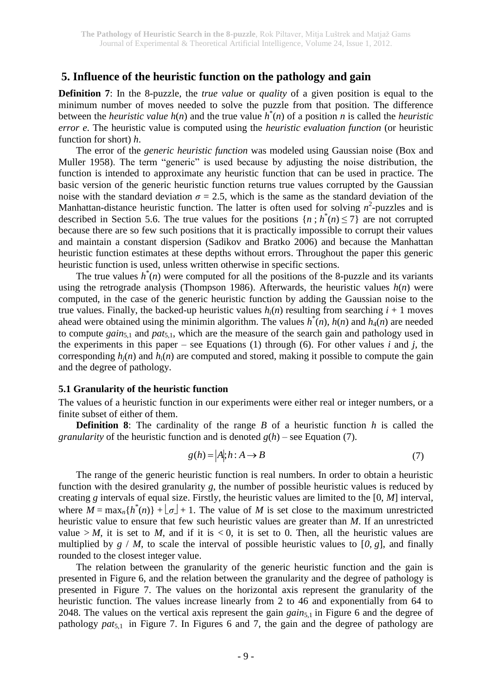## **5. Influence of the heuristic function on the pathology and gain**

**Definition 7**: In the 8-puzzle, the *true value* or *quality* of a given position is equal to the minimum number of moves needed to solve the puzzle from that position. The difference between the *heuristic value*  $h(n)$  and the true value  $\hat{h}^*(n)$  of a position *n* is called the *heuristic error e*. The heuristic value is computed using the *heuristic evaluation function* (or heuristic function for short) *h*.

The error of the *generic heuristic function* was modeled using Gaussian noise (Box and Muller 1958). The term "generic" is used because by adjusting the noise distribution, the function is intended to approximate any heuristic function that can be used in practice. The basic version of the generic heuristic function returns true values corrupted by the Gaussian noise with the standard deviation  $\sigma = 2.5$ , which is the same as the standard deviation of the Manhattan-distance heuristic function. The latter is often used for solving  $n^2$ -puzzles and is described in Section 5.6. The true values for the positions  $\{n : h^*(n) \le 7\}$  are not corrupted because there are so few such positions that it is practically impossible to corrupt their values and maintain a constant dispersion (Sadikov and Bratko 2006) and because the Manhattan heuristic function estimates at these depths without errors. Throughout the paper this generic heuristic function is used, unless written otherwise in specific sections.

The true values  $h^*(n)$  were computed for all the positions of the 8-puzzle and its variants using the retrograde analysis (Thompson 1986). Afterwards, the heuristic values  $h(n)$  were computed, in the case of the generic heuristic function by adding the Gaussian noise to the true values. Finally, the backed-up heuristic values  $h_i(n)$  resulting from searching  $i + 1$  moves ahead were obtained using the minimin algorithm. The values  $h^*(n)$ ,  $h(n)$  and  $h_4(n)$  are needed to compute *gain*<sub>5,1</sub> and *pat*<sub>5,1</sub>, which are the measure of the search gain and pathology used in the experiments in this paper – see Equations (1) through (6). For other values  $i$  and  $j$ , the corresponding  $h_i(n)$  and  $h_i(n)$  are computed and stored, making it possible to compute the gain and the degree of pathology.

#### **5.1 Granularity of the heuristic function**

The values of a heuristic function in our experiments were either real or integer numbers, or a finite subset of either of them.

**Definition 8**: The cardinality of the range *B* of a heuristic function *h* is called the *granularity* of the heuristic function and is denoted  $g(h)$  – see Equation (7).

$$
g(h) = |A|; h : A \to B \tag{7}
$$

The range of the generic heuristic function is real numbers. In order to obtain a heuristic function with the desired granularity *g*, the number of possible heuristic values is reduced by creating *g* intervals of equal size. Firstly, the heuristic values are limited to the [0, *M*] interval, where  $M = \max_{n} \{ h^*(n) \} + \lfloor \sigma \rfloor + 1$ . The value of M is set close to the maximum unrestricted heuristic value to ensure that few such heuristic values are greater than *M*. If an unrestricted value  $> M$ , it is set to M, and if it is  $< 0$ , it is set to 0. Then, all the heuristic values are multiplied by  $g / M$ , to scale the interval of possible heuristic values to [0,  $g$ ], and finally rounded to the closest integer value.

The relation between the granularity of the generic heuristic function and the gain is presented in Figure 6, and the relation between the granularity and the degree of pathology is presented in Figure 7. The values on the horizontal axis represent the granularity of the heuristic function. The values increase linearly from 2 to 46 and exponentially from 64 to 2048. The values on the vertical axis represent the gain *gain*<sub>5,1</sub> in Figure 6 and the degree of pathology *pat*5,1 in Figure 7. In Figures 6 and 7, the gain and the degree of pathology are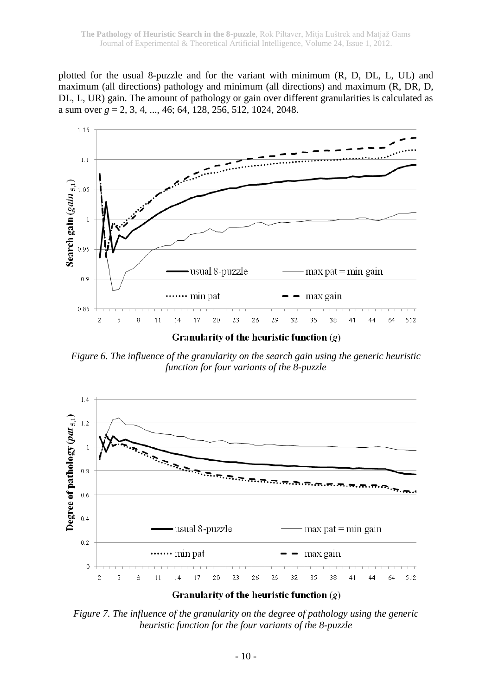plotted for the usual 8-puzzle and for the variant with minimum (R, D, DL, L, UL) and maximum (all directions) pathology and minimum (all directions) and maximum (R, DR, D, DL, L, UR) gain. The amount of pathology or gain over different granularities is calculated as a sum over *g* = 2, 3, 4, ..., 46; 64, 128, 256, 512, 1024, 2048.



*Figure 6. The influence of the granularity on the search gain using the generic heuristic function for four variants of the 8-puzzle*



*Figure 7. The influence of the granularity on the degree of pathology using the generic heuristic function for the four variants of the 8-puzzle*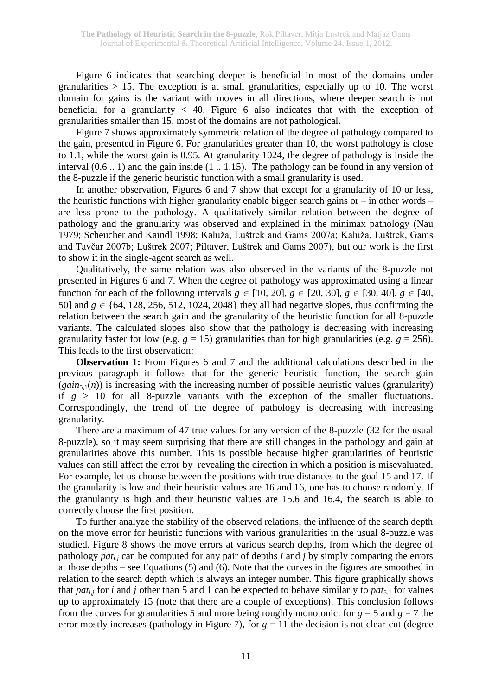Figure 6 indicates that searching deeper is beneficial in most of the domains under granularities  $> 15$ . The exception is at small granularities, especially up to 10. The worst domain for gains is the variant with moves in all directions, where deeper search is not beneficial for a granularity  $\langle 40.$  Figure 6 also indicates that with the exception of granularities smaller than 15, most of the domains are not pathological.

Figure 7 shows approximately symmetric relation of the degree of pathology compared to the gain, presented in Figure 6. For granularities greater than 10, the worst pathology is close to 1.1, while the worst gain is 0.95. At granularity 1024, the degree of pathology is inside the interval (0.6 .. 1) and the gain inside (1 .. 1.15). The pathology can be found in any version of the 8-puzzle if the generic heuristic function with a small granularity is used.

In another observation, Figures 6 and 7 show that except for a granularity of 10 or less, the heuristic functions with higher granularity enable bigger search gains or – in other words – are less prone to the pathology. A qualitatively similar relation between the degree of pathology and the granularity was observed and explained in the minimax pathology (Nau 1979; Scheucher and Kaindl 1998; Kaluža, Luštrek and Gams 2007a; Kaluža, Luštrek, Gams and Tavčar 2007b; Luštrek 2007; Piltaver, Luštrek and Gams 2007), but our work is the first to show it in the single-agent search as well.

Qualitatively, the same relation was also observed in the variants of the 8-puzzle not presented in Figures 6 and 7. When the degree of pathology was approximated using a linear function for each of the following intervals  $g \in [10, 20]$ ,  $g \in [20, 30]$ ,  $g \in [30, 40]$ ,  $g \in [40, 40]$ 50] and  $g \in \{64, 128, 256, 512, 1024, 2048\}$  they all had negative slopes, thus confirming the relation between the search gain and the granularity of the heuristic function for all 8-puzzle variants. The calculated slopes also show that the pathology is decreasing with increasing granularity faster for low (e.g.  $g = 15$ ) granularities than for high granularities (e.g.  $g = 256$ ). This leads to the first observation:

**Observation 1:** From Figures 6 and 7 and the additional calculations described in the previous paragraph it follows that for the generic heuristic function, the search gain  $(gain_{5,1}(n))$  is increasing with the increasing number of possible heuristic values (granularity) if  $g > 10$  for all 8-puzzle variants with the exception of the smaller fluctuations. Correspondingly, the trend of the degree of pathology is decreasing with increasing granularity.

There are a maximum of 47 true values for any version of the 8-puzzle (32 for the usual 8-puzzle), so it may seem surprising that there are still changes in the pathology and gain at granularities above this number. This is possible because higher granularities of heuristic values can still affect the error by revealing the direction in which a position is misevaluated. For example, let us choose between the positions with true distances to the goal 15 and 17. If the granularity is low and their heuristic values are 16 and 16, one has to choose randomly. If the granularity is high and their heuristic values are 15.6 and 16.4, the search is able to correctly choose the first position.

To further analyze the stability of the observed relations, the influence of the search depth on the move error for heuristic functions with various granularities in the usual 8-puzzle was studied. Figure 8 shows the move errors at various search depths, from which the degree of pathology *pati*,*<sup>j</sup>* can be computed for any pair of depths *i* and *j* by simply comparing the errors at those depths – see Equations (5) and (6). Note that the curves in the figures are smoothed in relation to the search depth which is always an integer number. This figure graphically shows that *pat<sub>i</sub>* for *i* and *j* other than 5 and 1 can be expected to behave similarly to *pat*<sub>5,1</sub> for values up to approximately 15 (note that there are a couple of exceptions). This conclusion follows from the curves for granularities 5 and more being roughly monotonic: for  $g = 5$  and  $g = 7$  the error mostly increases (pathology in Figure 7), for  $g = 11$  the decision is not clear-cut (degree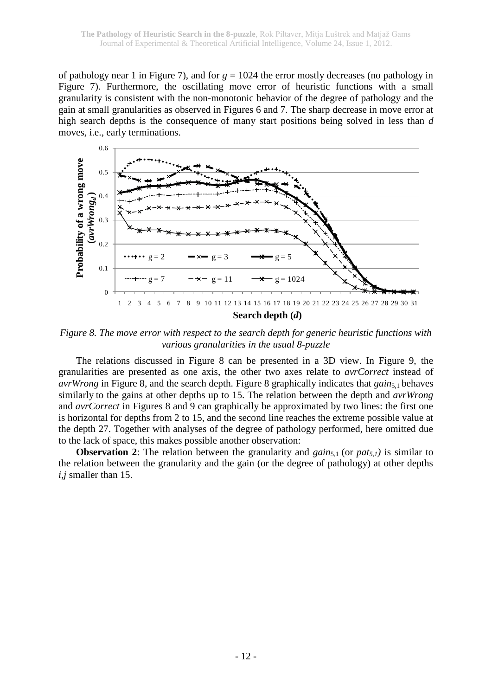of pathology near 1 in Figure 7), and for *g* = 1024 the error mostly decreases (no pathology in Figure 7). Furthermore, the oscillating move error of heuristic functions with a small granularity is consistent with the non-monotonic behavior of the degree of pathology and the gain at small granularities as observed in Figures 6 and 7. The sharp decrease in move error at high search depths is the consequence of many start positions being solved in less than *d* moves, i.e., early terminations.



*Figure 8. The move error with respect to the search depth for generic heuristic functions with various granularities in the usual 8-puzzle*

The relations discussed in Figure 8 can be presented in a 3D view. In Figure 9, the granularities are presented as one axis, the other two axes relate to *avrCorrect* instead of *avrWrong* in Figure 8, and the search depth. Figure 8 graphically indicates that *gain*<sub>5,1</sub> behaves similarly to the gains at other depths up to 15. The relation between the depth and *avrWrong* and *avrCorrect* in Figures 8 and 9 can graphically be approximated by two lines: the first one is horizontal for depths from 2 to 15, and the second line reaches the extreme possible value at the depth 27. Together with analyses of the degree of pathology performed, here omitted due to the lack of space, this makes possible another observation:

**Observation 2**: The relation between the granularity and *gain*<sub>5,1</sub> (or *pat<sub>5,1</sub>*) is similar to the relation between the granularity and the gain (or the degree of pathology) at other depths *i,j* smaller than 15.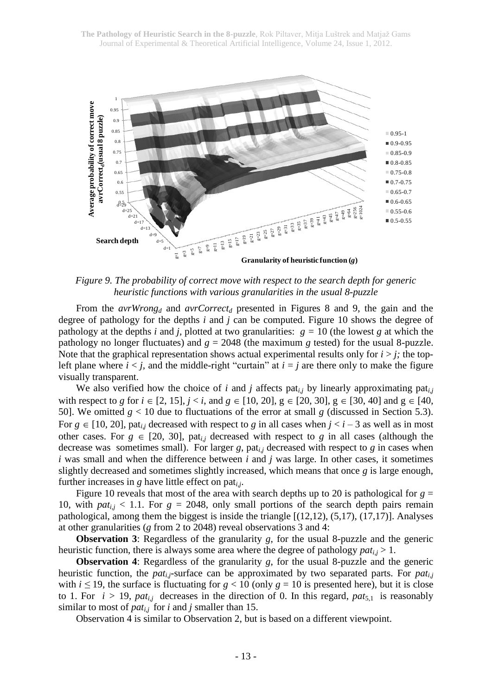

*Figure 9. The probability of correct move with respect to the search depth for generic heuristic functions with various granularities in the usual 8-puzzle*

From the *avrWrong<sup>d</sup>* and *avrCorrect<sup>d</sup>* presented in Figures 8 and 9, the gain and the degree of pathology for the depths *i* and *j* can be computed. Figure 10 shows the degree of pathology at the depths *i* and *j*, plotted at two granularities:  $g = 10$  (the lowest *g* at which the pathology no longer fluctuates) and  $g = 2048$  (the maximum *g* tested) for the usual 8-puzzle. Note that the graphical representation shows actual experimental results only for  $i > j$ ; the topleft plane where  $i < j$ , and the middle-right "curtain" at  $i = j$  are there only to make the figure visually transparent.

We also verified how the choice of *i* and *j* affects pat<sub>*i*,*j*</sub> by linearly approximating pat<sub>*i*,*j*</sub> with respect to *g* for  $i \in [2, 15]$ ,  $j < i$ , and  $g \in [10, 20]$ ,  $g \in [20, 30]$ ,  $g \in [30, 40]$  and  $g \in [40, 40]$ 50]. We omitted  $g < 10$  due to fluctuations of the error at small  $g$  (discussed in Section 5.3). For  $g \in [10, 20]$ , pat<sub>ij</sub> decreased with respect to *g* in all cases when  $j < i - 3$  as well as in most other cases. For  $g \in [20, 30]$ , pat<sub>ij</sub> decreased with respect to *g* in all cases (although the decrease was sometimes small). For larger *g*, pat*i*,*<sup>j</sup>* decreased with respect to *g* in cases when *i* was small and when the difference between *i* and *j* was large. In other cases, it sometimes slightly decreased and sometimes slightly increased, which means that once *g* is large enough, further increases in *g* have little effect on pat*i*,*<sup>j</sup>* .

Figure 10 reveals that most of the area with search depths up to 20 is pathological for  $g =$ 10, with  $pat_{i,j}$  < 1.1. For  $g = 2048$ , only small portions of the search depth pairs remain pathological, among them the biggest is inside the triangle [(12,12), (5,17), (17,17)]. Analyses at other granularities (*g* from 2 to 2048) reveal observations 3 and 4:

**Observation 3:** Regardless of the granularity *g*, for the usual 8-puzzle and the generic heuristic function, there is always some area where the degree of pathology  $pat_{i,j} > 1$ .

**Observation 4:** Regardless of the granularity *g*, for the usual 8-puzzle and the generic heuristic function, the *pati*,*j*-surface can be approximated by two separated parts. For *pati*,*<sup>j</sup>* with  $i \leq 19$ , the surface is fluctuating for  $g < 10$  (only  $g = 10$  is presented here), but it is close to 1. For  $i > 19$ ,  $pat_{i,j}$  decreases in the direction of 0. In this regard,  $pat_{5,1}$  is reasonably similar to most of *pati*,*<sup>j</sup>* for *i* and *j* smaller than 15.

Observation 4 is similar to Observation 2, but is based on a different viewpoint.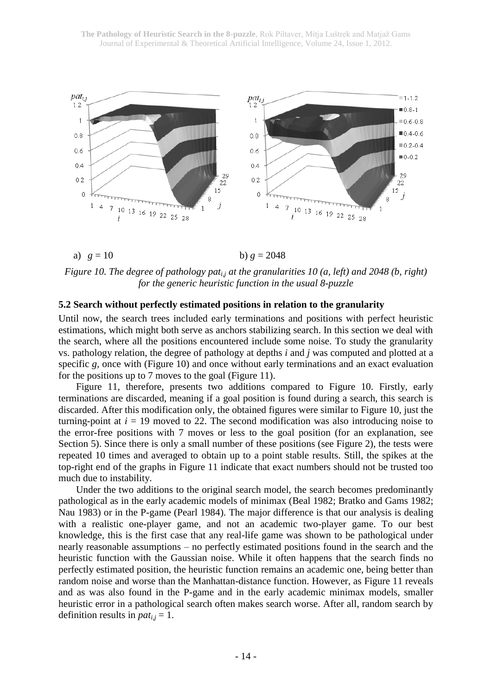

## a)  $g = 10$  b)  $g = 2048$

*Figure 10. The degree of pathology pati,j at the granularities 10 (a, left) and 2048 (b, right) for the generic heuristic function in the usual 8-puzzle*

#### **5.2 Search without perfectly estimated positions in relation to the granularity**

Until now, the search trees included early terminations and positions with perfect heuristic estimations, which might both serve as anchors stabilizing search. In this section we deal with the search, where all the positions encountered include some noise. To study the granularity vs. pathology relation, the degree of pathology at depths *i* and *j* was computed and plotted at a specific *g*, once with (Figure 10) and once without early terminations and an exact evaluation for the positions up to 7 moves to the goal (Figure 11).

Figure 11, therefore, presents two additions compared to Figure 10. Firstly, early terminations are discarded, meaning if a goal position is found during a search, this search is discarded. After this modification only, the obtained figures were similar to Figure 10, just the turning-point at  $i = 19$  moved to 22. The second modification was also introducing noise to the error-free positions with 7 moves or less to the goal position (for an explanation, see Section 5). Since there is only a small number of these positions (see Figure 2), the tests were repeated 10 times and averaged to obtain up to a point stable results. Still, the spikes at the top-right end of the graphs in Figure 11 indicate that exact numbers should not be trusted too much due to instability.

Under the two additions to the original search model, the search becomes predominantly pathological as in the early academic models of minimax (Beal 1982; Bratko and Gams 1982; Nau 1983) or in the P-game (Pearl 1984). The major difference is that our analysis is dealing with a realistic one-player game, and not an academic two-player game. To our best knowledge, this is the first case that any real-life game was shown to be pathological under nearly reasonable assumptions – no perfectly estimated positions found in the search and the heuristic function with the Gaussian noise. While it often happens that the search finds no perfectly estimated position, the heuristic function remains an academic one, being better than random noise and worse than the Manhattan-distance function. However, as Figure 11 reveals and as was also found in the P-game and in the early academic minimax models, smaller heuristic error in a pathological search often makes search worse. After all, random search by definition results in  $pat_{i,j} = 1$ .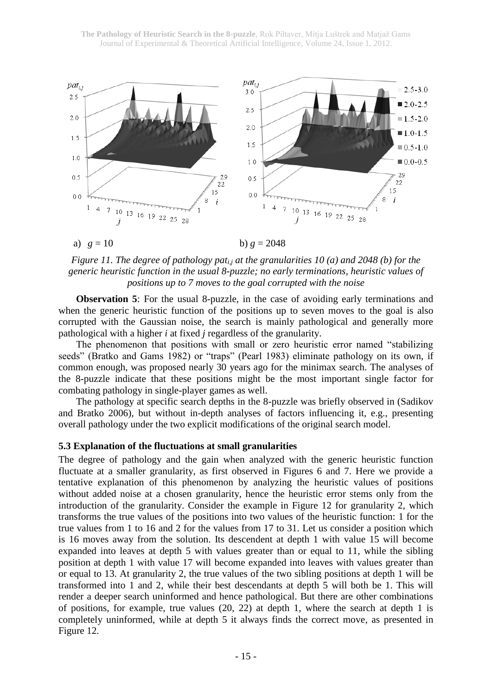

*Figure 11. The degree of pathology pati,j at the granularities 10 (a) and 2048 (b) for the generic heuristic function in the usual 8-puzzle; no early terminations, heuristic values of positions up to 7 moves to the goal corrupted with the noise*

**Observation 5**: For the usual 8-puzzle, in the case of avoiding early terminations and when the generic heuristic function of the positions up to seven moves to the goal is also corrupted with the Gaussian noise, the search is mainly pathological and generally more pathological with a higher *i* at fixed *j* regardless of the granularity.

The phenomenon that positions with small or zero heuristic error named "stabilizing seeds" (Bratko and Gams 1982) or "traps" (Pearl 1983) eliminate pathology on its own, if common enough, was proposed nearly 30 years ago for the minimax search. The analyses of the 8-puzzle indicate that these positions might be the most important single factor for combating pathology in single-player games as well.

The pathology at specific search depths in the 8-puzzle was briefly observed in (Sadikov and Bratko 2006), but without in-depth analyses of factors influencing it, e.g., presenting overall pathology under the two explicit modifications of the original search model.

#### **5.3 Explanation of the fluctuations at small granularities**

The degree of pathology and the gain when analyzed with the generic heuristic function fluctuate at a smaller granularity, as first observed in Figures 6 and 7. Here we provide a tentative explanation of this phenomenon by analyzing the heuristic values of positions without added noise at a chosen granularity, hence the heuristic error stems only from the introduction of the granularity. Consider the example in Figure 12 for granularity 2, which transforms the true values of the positions into two values of the heuristic function: 1 for the true values from 1 to 16 and 2 for the values from 17 to 31. Let us consider a position which is 16 moves away from the solution. Its descendent at depth 1 with value 15 will become expanded into leaves at depth 5 with values greater than or equal to 11, while the sibling position at depth 1 with value 17 will become expanded into leaves with values greater than or equal to 13. At granularity 2, the true values of the two sibling positions at depth 1 will be transformed into 1 and 2, while their best descendants at depth 5 will both be 1. This will render a deeper search uninformed and hence pathological. But there are other combinations of positions, for example, true values (20, 22) at depth 1, where the search at depth 1 is completely uninformed, while at depth 5 it always finds the correct move, as presented in Figure 12.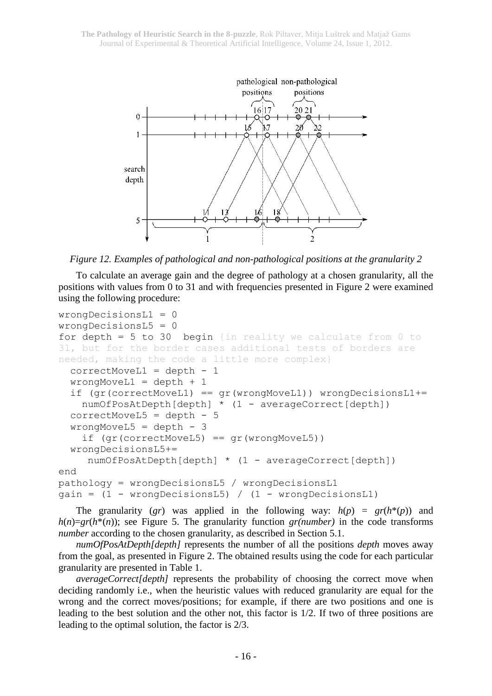

*Figure 12. Examples of pathological and non-pathological positions at the granularity 2*

To calculate an average gain and the degree of pathology at a chosen granularity, all the positions with values from 0 to 31 and with frequencies presented in Figure 2 were examined using the following procedure:

```
wrongDecisionsL1 = 0
wrongDecisionsL5 = 0
for depth = 5 to 30 begin {in reality we calculate from 0 to
31, but for the border cases additional tests of borders are 
needed, making the code a little more complex}
  correctMoveL1 = depth - 1 
  wrongMoveL1 = depth + 1
  if (gr(correctMoveL1) == gr(wrongMoveL1)) wrongDecisionsL1+=
    numOfPosAtDepth[depth] * (1 - averageCorrect[depth])
  correctMoveL5 = depth - 5wrongMoveL5 = depth - 3
    if (qr(correctMoveL5) == qr(wrongMoveL5))wrongDecisionsL5+=
     numOfPosAtDepth[depth] * (1 - averageCorrect[depth])
end
pathology = wrongDecisionsL5 / wrongDecisionsL1 
gain = (1 - wrongDecisionsL5) / (1 - wrongDecisionsL1)
```
The granularity (*gr*) was applied in the following way:  $h(p) = gr(h^{*}(p))$  and  $h(n)=gr(h^*(n))$ ; see Figure 5. The granularity function *gr(number)* in the code transforms *number* according to the chosen granularity, as described in Section 5.1.

*numOfPosAtDepth[depth]* represents the number of all the positions *depth* moves away from the goal, as presented in Figure 2. The obtained results using the code for each particular granularity are presented in Table 1.

*averageCorrect[depth]* represents the probability of choosing the correct move when deciding randomly i.e., when the heuristic values with reduced granularity are equal for the wrong and the correct moves/positions; for example, if there are two positions and one is leading to the best solution and the other not, this factor is 1/2. If two of three positions are leading to the optimal solution, the factor is 2/3.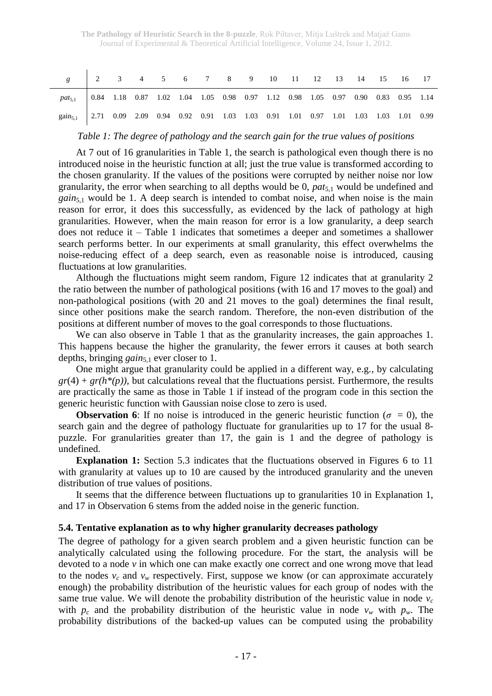| g 2 3 4 5 6 7 8 9 10 11 12 13 14 15 16 17                                                           |  |  |  |  |  |  |  |  |
|-----------------------------------------------------------------------------------------------------|--|--|--|--|--|--|--|--|
| $pat_{5,1}$ 0.84 1.18 0.87 1.02 1.04 1.05 0.98 0.97 1.12 0.98 1.05 0.97 0.90 0.83 0.95 1.14         |  |  |  |  |  |  |  |  |
| gain <sub>5.1</sub> 2.71 0.09 2.09 0.94 0.92 0.91 1.03 1.03 0.91 1.01 0.97 1.01 1.03 1.03 1.01 0.99 |  |  |  |  |  |  |  |  |

### *Table 1: The degree of pathology and the search gain for the true values of positions*

At 7 out of 16 granularities in Table 1, the search is pathological even though there is no introduced noise in the heuristic function at all; just the true value is transformed according to the chosen granularity. If the values of the positions were corrupted by neither noise nor low granularity, the error when searching to all depths would be 0, *pat*5,1 would be undefined and *gain*5,1 would be 1. A deep search is intended to combat noise, and when noise is the main reason for error, it does this successfully, as evidenced by the lack of pathology at high granularities. However, when the main reason for error is a low granularity, a deep search does not reduce it – Table 1 indicates that sometimes a deeper and sometimes a shallower search performs better. In our experiments at small granularity, this effect overwhelms the noise-reducing effect of a deep search, even as reasonable noise is introduced, causing fluctuations at low granularities.

Although the fluctuations might seem random, Figure 12 indicates that at granularity 2 the ratio between the number of pathological positions (with 16 and 17 moves to the goal) and non-pathological positions (with 20 and 21 moves to the goal) determines the final result, since other positions make the search random. Therefore, the non-even distribution of the positions at different number of moves to the goal corresponds to those fluctuations.

We can also observe in Table 1 that as the granularity increases, the gain approaches 1. This happens because the higher the granularity, the fewer errors it causes at both search depths, bringing *gain*5,1 ever closer to 1.

One might argue that granularity could be applied in a different way, e.g., by calculating  $gr(4) + gr(h<sup>*</sup>(p))$ , but calculations reveal that the fluctuations persist. Furthermore, the results are practically the same as those in Table 1 if instead of the program code in this section the generic heuristic function with Gaussian noise close to zero is used.

**Observation 6**: If no noise is introduced in the generic heuristic function ( $\sigma = 0$ ), the search gain and the degree of pathology fluctuate for granularities up to 17 for the usual 8 puzzle. For granularities greater than 17, the gain is 1 and the degree of pathology is undefined.

**Explanation 1:** Section 5.3 indicates that the fluctuations observed in Figures 6 to 11 with granularity at values up to 10 are caused by the introduced granularity and the uneven distribution of true values of positions.

It seems that the difference between fluctuations up to granularities 10 in Explanation 1, and 17 in Observation 6 stems from the added noise in the generic function.

### **5.4. Tentative explanation as to why higher granularity decreases pathology**

The degree of pathology for a given search problem and a given heuristic function can be analytically calculated using the following procedure. For the start, the analysis will be devoted to a node *v* in which one can make exactly one correct and one wrong move that lead to the nodes  $v_c$  and  $v_w$  respectively. First, suppose we know (or can approximate accurately enough) the probability distribution of the heuristic values for each group of nodes with the same true value. We will denote the probability distribution of the heuristic value in node  $v_c$ with  $p_c$  and the probability distribution of the heuristic value in node  $v_w$  with  $p_w$ . The probability distributions of the backed-up values can be computed using the probability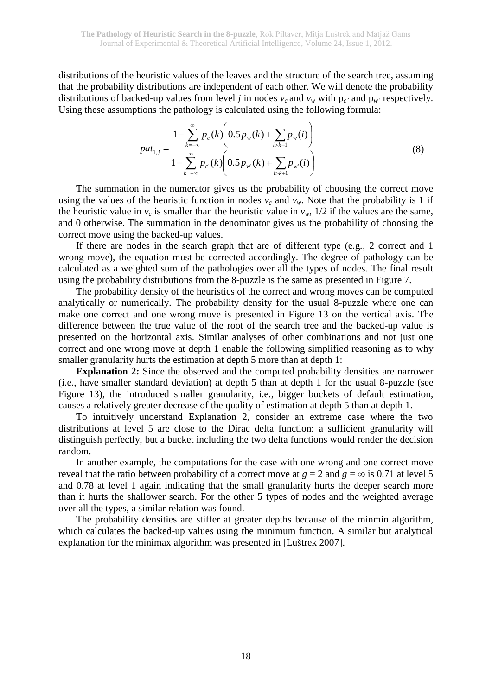distributions of the heuristic values of the leaves and the structure of the search tree, assuming that the probability distributions are independent of each other. We will denote the probability distributions of backed-up values from level *j* in nodes  $v_c$  and  $v_w$  with  $p_c$ <sup>*'*</sup> and  $p_w$ <sup>*'*</sup> respectively. Using these assumptions the pathology is calculated using the following formula:

$$
pat_{1,j} = \frac{1 - \sum_{k=-\infty}^{\infty} p_c(k) \left( 0.5 p_w(k) + \sum_{i>k+1} p_w(i) \right)}{1 - \sum_{k=-\infty}^{\infty} p_{c'}(k) \left( 0.5 p_{w'}(k) + \sum_{i>k+1} p_{w'}(i) \right)}
$$
(8)

The summation in the numerator gives us the probability of choosing the correct move using the values of the heuristic function in nodes  $v_c$  and  $v_w$ . Note that the probability is 1 if the heuristic value in  $v_c$  is smaller than the heuristic value in  $v_w$ ,  $1/2$  if the values are the same, and 0 otherwise. The summation in the denominator gives us the probability of choosing the correct move using the backed-up values.

If there are nodes in the search graph that are of different type (e.g., 2 correct and 1 wrong move), the equation must be corrected accordingly. The degree of pathology can be calculated as a weighted sum of the pathologies over all the types of nodes. The final result using the probability distributions from the 8-puzzle is the same as presented in Figure 7.

The probability density of the heuristics of the correct and wrong moves can be computed analytically or numerically. The probability density for the usual 8-puzzle where one can make one correct and one wrong move is presented in Figure 13 on the vertical axis. The difference between the true value of the root of the search tree and the backed-up value is presented on the horizontal axis. Similar analyses of other combinations and not just one correct and one wrong move at depth 1 enable the following simplified reasoning as to why smaller granularity hurts the estimation at depth 5 more than at depth 1:

**Explanation 2:** Since the observed and the computed probability densities are narrower (i.e., have smaller standard deviation) at depth 5 than at depth 1 for the usual 8-puzzle (see Figure 13), the introduced smaller granularity, i.e., bigger buckets of default estimation, causes a relatively greater decrease of the quality of estimation at depth 5 than at depth 1.

To intuitively understand Explanation 2, consider an extreme case where the two distributions at level 5 are close to the Dirac delta function: a sufficient granularity will distinguish perfectly, but a bucket including the two delta functions would render the decision random.

In another example, the computations for the case with one wrong and one correct move reveal that the ratio between probability of a correct move at  $g = 2$  and  $g = \infty$  is 0.71 at level 5 and 0.78 at level 1 again indicating that the small granularity hurts the deeper search more than it hurts the shallower search. For the other 5 types of nodes and the weighted average over all the types, a similar relation was found.

The probability densities are stiffer at greater depths because of the minmin algorithm, which calculates the backed-up values using the minimum function. A similar but analytical explanation for the minimax algorithm was presented in [Luštrek 2007].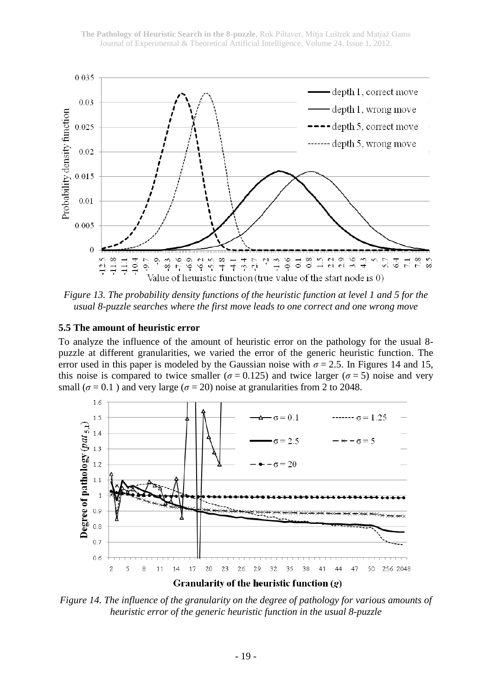

*Figure 13. The probability density functions of the heuristic function at level 1 and 5 for the usual 8-puzzle searches where the first move leads to one correct and one wrong move*

#### **5.5 The amount of heuristic error**

To analyze the influence of the amount of heuristic error on the pathology for the usual 8 puzzle at different granularities, we varied the error of the generic heuristic function. The error used in this paper is modeled by the Gaussian noise with  $\sigma = 2.5$ . In Figures 14 and 15, this noise is compared to twice smaller ( $\sigma$  = 0.125) and twice larger ( $\sigma$  = 5) noise and very small ( $\sigma$  = 0.1) and very large ( $\sigma$  = 20) noise at granularities from 2 to 2048.



*Figure 14. The influence of the granularity on the degree of pathology for various amounts of heuristic error of the generic heuristic function in the usual 8-puzzle*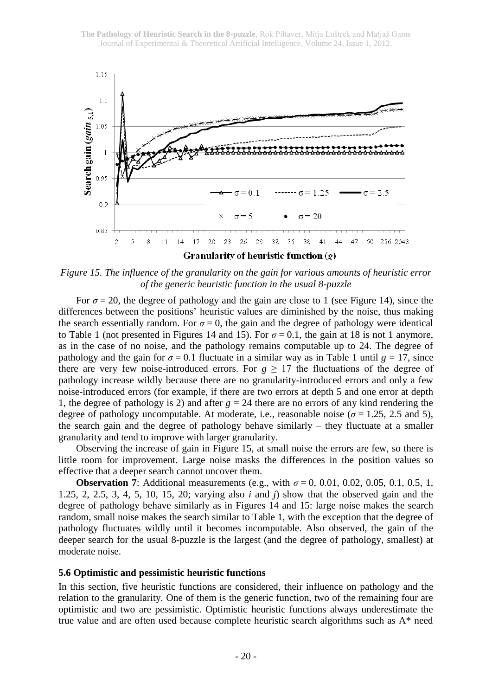

*Figure 15. The influence of the granularity on the gain for various amounts of heuristic error of the generic heuristic function in the usual 8-puzzle*

For  $\sigma$  = 20, the degree of pathology and the gain are close to 1 (see Figure 14), since the differences between the positions' heuristic values are diminished by the noise, thus making the search essentially random. For  $\sigma = 0$ , the gain and the degree of pathology were identical to Table 1 (not presented in Figures 14 and 15). For  $\sigma = 0.1$ , the gain at 18 is not 1 anymore, as in the case of no noise, and the pathology remains computable up to 24. The degree of pathology and the gain for  $\sigma = 0.1$  fluctuate in a similar way as in Table 1 until  $g = 17$ , since there are very few noise-introduced errors. For  $g \ge 17$  the fluctuations of the degree of pathology increase wildly because there are no granularity-introduced errors and only a few noise-introduced errors (for example, if there are two errors at depth 5 and one error at depth 1, the degree of pathology is 2) and after  $g = 24$  there are no errors of any kind rendering the degree of pathology uncomputable. At moderate, i.e., reasonable noise ( $\sigma$  = 1.25, 2.5 and 5), the search gain and the degree of pathology behave similarly – they fluctuate at a smaller granularity and tend to improve with larger granularity.

Observing the increase of gain in Figure 15, at small noise the errors are few, so there is little room for improvement. Large noise masks the differences in the position values so effective that a deeper search cannot uncover them.

**Observation 7**: Additional measurements (e.g., with  $\sigma = 0$ , 0.01, 0.02, 0.05, 0.1, 0.5, 1, 1.25, 2, 2.5, 3, 4, 5, 10, 15, 20; varying also *i* and *j*) show that the observed gain and the degree of pathology behave similarly as in Figures 14 and 15: large noise makes the search random, small noise makes the search similar to Table 1, with the exception that the degree of pathology fluctuates wildly until it becomes incomputable. Also observed, the gain of the deeper search for the usual 8-puzzle is the largest (and the degree of pathology, smallest) at moderate noise.

#### **5.6 Optimistic and pessimistic heuristic functions**

In this section, five heuristic functions are considered, their influence on pathology and the relation to the granularity. One of them is the generic function, two of the remaining four are optimistic and two are pessimistic. Optimistic heuristic functions always underestimate the true value and are often used because complete heuristic search algorithms such as A\* need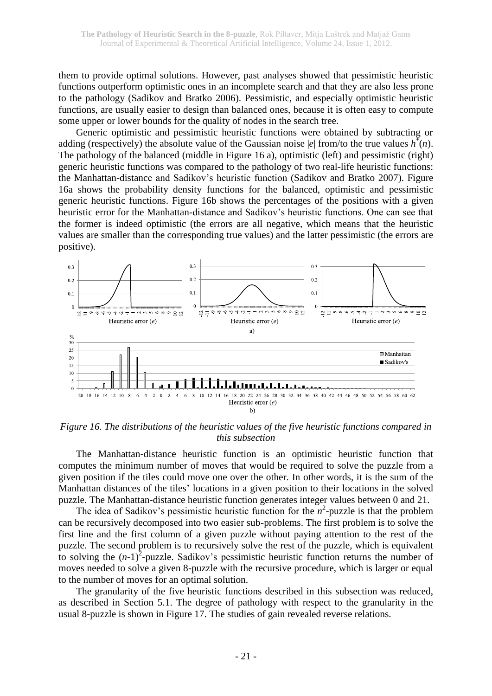them to provide optimal solutions. However, past analyses showed that pessimistic heuristic functions outperform optimistic ones in an incomplete search and that they are also less prone to the pathology (Sadikov and Bratko 2006). Pessimistic, and especially optimistic heuristic functions, are usually easier to design than balanced ones, because it is often easy to compute some upper or lower bounds for the quality of nodes in the search tree.

Generic optimistic and pessimistic heuristic functions were obtained by subtracting or adding (respectively) the absolute value of the Gaussian noise |e| from/to the true values  $h^*(n)$ . The pathology of the balanced (middle in Figure 16 a), optimistic (left) and pessimistic (right) generic heuristic functions was compared to the pathology of two real-life heuristic functions: the Manhattan-distance and Sadikov's heuristic function (Sadikov and Bratko 2007). Figure 16a shows the probability density functions for the balanced, optimistic and pessimistic generic heuristic functions. Figure 16b shows the percentages of the positions with a given heuristic error for the Manhattan-distance and Sadikov's heuristic functions. One can see that the former is indeed optimistic (the errors are all negative, which means that the heuristic values are smaller than the corresponding true values) and the latter pessimistic (the errors are positive).



*Figure 16. The distributions of the heuristic values of the five heuristic functions compared in this subsection*

The Manhattan-distance heuristic function is an optimistic heuristic function that computes the minimum number of moves that would be required to solve the puzzle from a given position if the tiles could move one over the other. In other words, it is the sum of the Manhattan distances of the tiles' locations in a given position to their locations in the solved puzzle. The Manhattan-distance heuristic function generates integer values between 0 and 21.

The idea of Sadikov's pessimistic heuristic function for the  $n^2$ -puzzle is that the problem can be recursively decomposed into two easier sub-problems. The first problem is to solve the first line and the first column of a given puzzle without paying attention to the rest of the puzzle. The second problem is to recursively solve the rest of the puzzle, which is equivalent to solving the  $(n-1)^2$ -puzzle. Sadikov's pessimistic heuristic function returns the number of moves needed to solve a given 8-puzzle with the recursive procedure, which is larger or equal to the number of moves for an optimal solution.

The granularity of the five heuristic functions described in this subsection was reduced, as described in Section 5.1. The degree of pathology with respect to the granularity in the usual 8-puzzle is shown in Figure 17. The studies of gain revealed reverse relations.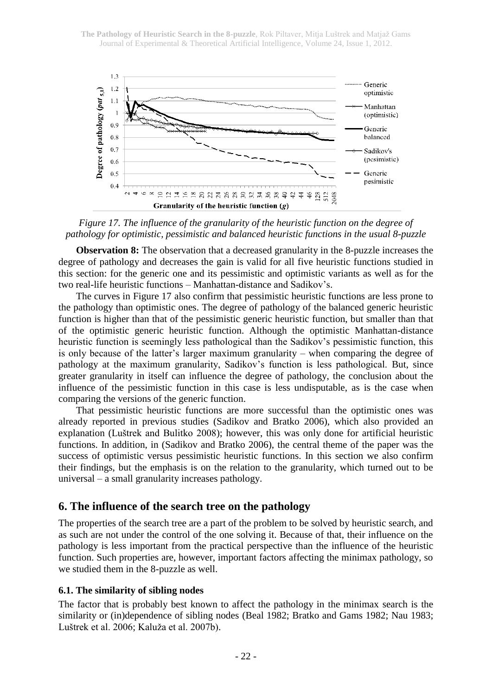

*Figure 17. The influence of the granularity of the heuristic function on the degree of pathology for optimistic, pessimistic and balanced heuristic functions in the usual 8-puzzle*

**Observation 8:** The observation that a decreased granularity in the 8-puzzle increases the degree of pathology and decreases the gain is valid for all five heuristic functions studied in this section: for the generic one and its pessimistic and optimistic variants as well as for the two real-life heuristic functions – Manhattan-distance and Sadikov's.

The curves in Figure 17 also confirm that pessimistic heuristic functions are less prone to the pathology than optimistic ones. The degree of pathology of the balanced generic heuristic function is higher than that of the pessimistic generic heuristic function, but smaller than that of the optimistic generic heuristic function. Although the optimistic Manhattan-distance heuristic function is seemingly less pathological than the Sadikov's pessimistic function, this is only because of the latter's larger maximum granularity – when comparing the degree of pathology at the maximum granularity, Sadikov's function is less pathological. But, since greater granularity in itself can influence the degree of pathology, the conclusion about the influence of the pessimistic function in this case is less undisputable, as is the case when comparing the versions of the generic function.

That pessimistic heuristic functions are more successful than the optimistic ones was already reported in previous studies (Sadikov and Bratko 2006), which also provided an explanation (Luštrek and Bulitko 2008); however, this was only done for artificial heuristic functions. In addition, in (Sadikov and Bratko 2006), the central theme of the paper was the success of optimistic versus pessimistic heuristic functions. In this section we also confirm their findings, but the emphasis is on the relation to the granularity, which turned out to be universal – a small granularity increases pathology.

## **6. The influence of the search tree on the pathology**

The properties of the search tree are a part of the problem to be solved by heuristic search, and as such are not under the control of the one solving it. Because of that, their influence on the pathology is less important from the practical perspective than the influence of the heuristic function. Such properties are, however, important factors affecting the minimax pathology, so we studied them in the 8-puzzle as well.

### **6.1. The similarity of sibling nodes**

The factor that is probably best known to affect the pathology in the minimax search is the similarity or (in)dependence of sibling nodes (Beal 1982; Bratko and Gams 1982; Nau 1983; Luštrek et al. 2006; Kaluža et al. 2007b).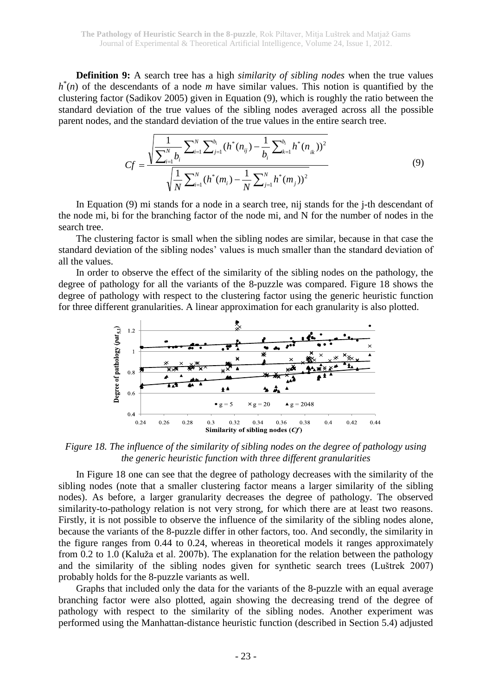**Definition 9:** A search tree has a high *similarity of sibling nodes* when the true values  $h^*(n)$  of the descendants of a node *m* have similar values. This notion is quantified by the clustering factor (Sadikov 2005) given in Equation (9), which is roughly the ratio between the standard deviation of the true values of the sibling nodes averaged across all the possible parent nodes, and the standard deviation of the true values in the entire search tree.

$$
Cf = \frac{\sqrt{\sum_{i=1}^{N} \sum_{i=1}^{N} \sum_{j=1}^{b_i} (h^*(n_{ij}) - \frac{1}{b_i} \sum_{k=1}^{b_i} h^*(n_{ik}))^2}}{\sqrt{\frac{1}{N} \sum_{i=1}^{N} (h^*(m_i) - \frac{1}{N} \sum_{j=1}^{N} h^*(m_j))^2}}
$$
(9)

In Equation (9) mi stands for a node in a search tree, nij stands for the j-th descendant of the node mi, bi for the branching factor of the node mi, and N for the number of nodes in the search tree.

The clustering factor is small when the sibling nodes are similar, because in that case the standard deviation of the sibling nodes' values is much smaller than the standard deviation of all the values.

In order to observe the effect of the similarity of the sibling nodes on the pathology, the degree of pathology for all the variants of the 8-puzzle was compared. Figure 18 shows the degree of pathology with respect to the clustering factor using the generic heuristic function for three different granularities. A linear approximation for each granularity is also plotted.



*Figure 18. The influence of the similarity of sibling nodes on the degree of pathology using the generic heuristic function with three different granularities*

In Figure 18 one can see that the degree of pathology decreases with the similarity of the sibling nodes (note that a smaller clustering factor means a larger similarity of the sibling nodes). As before, a larger granularity decreases the degree of pathology. The observed similarity-to-pathology relation is not very strong, for which there are at least two reasons. Firstly, it is not possible to observe the influence of the similarity of the sibling nodes alone, because the variants of the 8-puzzle differ in other factors, too. And secondly, the similarity in the figure ranges from 0.44 to 0.24, whereas in theoretical models it ranges approximately from 0.2 to 1.0 (Kaluža et al. 2007b). The explanation for the relation between the pathology and the similarity of the sibling nodes given for synthetic search trees (Luštrek 2007) probably holds for the 8-puzzle variants as well.

Graphs that included only the data for the variants of the 8-puzzle with an equal average branching factor were also plotted, again showing the decreasing trend of the degree of pathology with respect to the similarity of the sibling nodes. Another experiment was performed using the Manhattan-distance heuristic function (described in Section 5.4) adjusted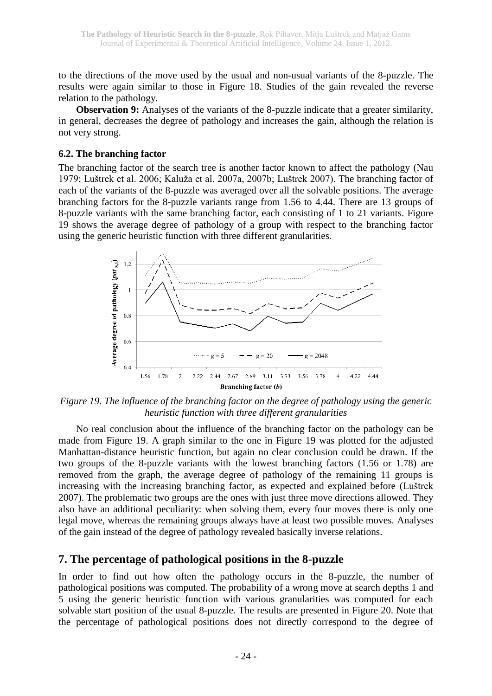to the directions of the move used by the usual and non-usual variants of the 8-puzzle. The results were again similar to those in Figure 18. Studies of the gain revealed the reverse relation to the pathology.

**Observation 9:** Analyses of the variants of the 8-puzzle indicate that a greater similarity, in general, decreases the degree of pathology and increases the gain, although the relation is not very strong.

### **6.2. The branching factor**

The branching factor of the search tree is another factor known to affect the pathology (Nau 1979; Luštrek et al. 2006; Kaluža et al. 2007a, 2007b; Luštrek 2007). The branching factor of each of the variants of the 8-puzzle was averaged over all the solvable positions. The average branching factors for the 8-puzzle variants range from 1.56 to 4.44. There are 13 groups of 8-puzzle variants with the same branching factor, each consisting of 1 to 21 variants. Figure 19 shows the average degree of pathology of a group with respect to the branching factor using the generic heuristic function with three different granularities.



*Figure 19. The influence of the branching factor on the degree of pathology using the generic heuristic function with three different granularities*

No real conclusion about the influence of the branching factor on the pathology can be made from Figure 19. A graph similar to the one in Figure 19 was plotted for the adjusted Manhattan-distance heuristic function, but again no clear conclusion could be drawn. If the two groups of the 8-puzzle variants with the lowest branching factors (1.56 or 1.78) are removed from the graph, the average degree of pathology of the remaining 11 groups is increasing with the increasing branching factor, as expected and explained before (Luštrek 2007). The problematic two groups are the ones with just three move directions allowed. They also have an additional peculiarity: when solving them, every four moves there is only one legal move, whereas the remaining groups always have at least two possible moves. Analyses of the gain instead of the degree of pathology revealed basically inverse relations.

## **7. The percentage of pathological positions in the 8-puzzle**

In order to find out how often the pathology occurs in the 8-puzzle, the number of pathological positions was computed. The probability of a wrong move at search depths 1 and 5 using the generic heuristic function with various granularities was computed for each solvable start position of the usual 8-puzzle. The results are presented in Figure 20. Note that the percentage of pathological positions does not directly correspond to the degree of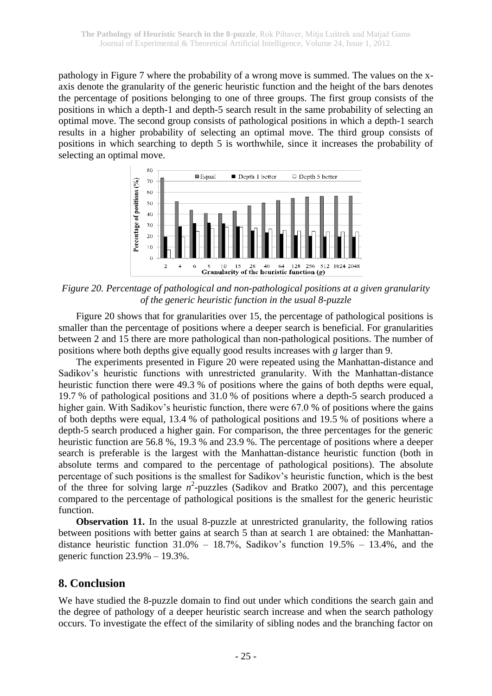pathology in Figure 7 where the probability of a wrong move is summed. The values on the xaxis denote the granularity of the generic heuristic function and the height of the bars denotes the percentage of positions belonging to one of three groups. The first group consists of the positions in which a depth-1 and depth-5 search result in the same probability of selecting an optimal move. The second group consists of pathological positions in which a depth-1 search results in a higher probability of selecting an optimal move. The third group consists of positions in which searching to depth 5 is worthwhile, since it increases the probability of selecting an optimal move.



*Figure 20. Percentage of pathological and non-pathological positions at a given granularity of the generic heuristic function in the usual 8-puzzle*

Figure 20 shows that for granularities over 15, the percentage of pathological positions is smaller than the percentage of positions where a deeper search is beneficial. For granularities between 2 and 15 there are more pathological than non-pathological positions. The number of positions where both depths give equally good results increases with *g* larger than 9.

The experiments presented in Figure 20 were repeated using the Manhattan-distance and Sadikov's heuristic functions with unrestricted granularity. With the Manhattan-distance heuristic function there were 49.3 % of positions where the gains of both depths were equal, 19.7 % of pathological positions and 31.0 % of positions where a depth-5 search produced a higher gain. With Sadikov's heuristic function, there were 67.0 % of positions where the gains of both depths were equal, 13.4 % of pathological positions and 19.5 % of positions where a depth-5 search produced a higher gain. For comparison, the three percentages for the generic heuristic function are 56.8 %, 19.3 % and 23.9 %. The percentage of positions where a deeper search is preferable is the largest with the Manhattan-distance heuristic function (both in absolute terms and compared to the percentage of pathological positions). The absolute percentage of such positions is the smallest for Sadikov's heuristic function, which is the best of the three for solving large  $n^2$ -puzzles (Sadikov and Bratko 2007), and this percentage compared to the percentage of pathological positions is the smallest for the generic heuristic function.

**Observation 11.** In the usual 8-puzzle at unrestricted granularity, the following ratios between positions with better gains at search 5 than at search 1 are obtained: the Manhattandistance heuristic function  $31.0\%$  –  $18.7\%$ , Sadikov's function  $19.5\%$  –  $13.4\%$ , and the generic function 23.9% – 19.3%.

## **8. Conclusion**

We have studied the 8-puzzle domain to find out under which conditions the search gain and the degree of pathology of a deeper heuristic search increase and when the search pathology occurs. To investigate the effect of the similarity of sibling nodes and the branching factor on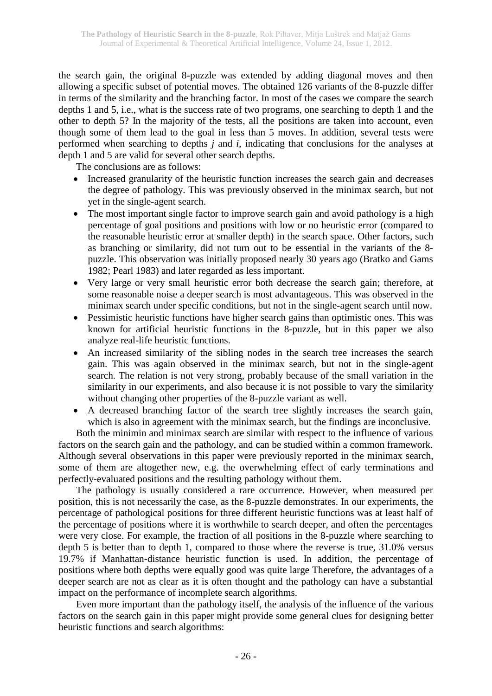the search gain, the original 8-puzzle was extended by adding diagonal moves and then allowing a specific subset of potential moves. The obtained 126 variants of the 8-puzzle differ in terms of the similarity and the branching factor. In most of the cases we compare the search depths 1 and 5, i.e., what is the success rate of two programs, one searching to depth 1 and the other to depth 5? In the majority of the tests, all the positions are taken into account, even though some of them lead to the goal in less than 5 moves. In addition, several tests were performed when searching to depths *j* and *i*, indicating that conclusions for the analyses at depth 1 and 5 are valid for several other search depths.

The conclusions are as follows:

- Increased granularity of the heuristic function increases the search gain and decreases the degree of pathology. This was previously observed in the minimax search, but not yet in the single-agent search.
- The most important single factor to improve search gain and avoid pathology is a high percentage of goal positions and positions with low or no heuristic error (compared to the reasonable heuristic error at smaller depth) in the search space. Other factors, such as branching or similarity, did not turn out to be essential in the variants of the 8 puzzle. This observation was initially proposed nearly 30 years ago (Bratko and Gams 1982; Pearl 1983) and later regarded as less important.
- Very large or very small heuristic error both decrease the search gain; therefore, at some reasonable noise a deeper search is most advantageous. This was observed in the minimax search under specific conditions, but not in the single-agent search until now.
- Pessimistic heuristic functions have higher search gains than optimistic ones. This was known for artificial heuristic functions in the 8-puzzle, but in this paper we also analyze real-life heuristic functions.
- An increased similarity of the sibling nodes in the search tree increases the search gain. This was again observed in the minimax search, but not in the single-agent search. The relation is not very strong, probably because of the small variation in the similarity in our experiments, and also because it is not possible to vary the similarity without changing other properties of the 8-puzzle variant as well.
- A decreased branching factor of the search tree slightly increases the search gain, which is also in agreement with the minimax search, but the findings are inconclusive.

Both the minimin and minimax search are similar with respect to the influence of various factors on the search gain and the pathology, and can be studied within a common framework. Although several observations in this paper were previously reported in the minimax search, some of them are altogether new, e.g. the overwhelming effect of early terminations and perfectly-evaluated positions and the resulting pathology without them.

The pathology is usually considered a rare occurrence. However, when measured per position, this is not necessarily the case, as the 8-puzzle demonstrates. In our experiments, the percentage of pathological positions for three different heuristic functions was at least half of the percentage of positions where it is worthwhile to search deeper, and often the percentages were very close. For example, the fraction of all positions in the 8-puzzle where searching to depth 5 is better than to depth 1, compared to those where the reverse is true, 31.0% versus 19.7% if Manhattan-distance heuristic function is used. In addition, the percentage of positions where both depths were equally good was quite large Therefore, the advantages of a deeper search are not as clear as it is often thought and the pathology can have a substantial impact on the performance of incomplete search algorithms.

Even more important than the pathology itself, the analysis of the influence of the various factors on the search gain in this paper might provide some general clues for designing better heuristic functions and search algorithms: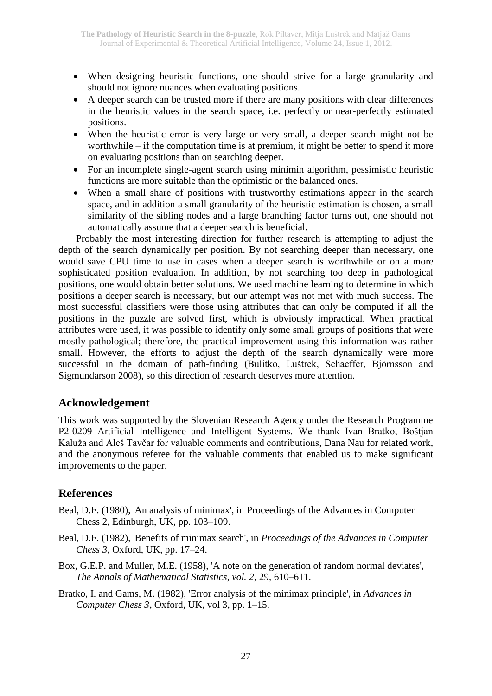- When designing heuristic functions, one should strive for a large granularity and should not ignore nuances when evaluating positions.
- A deeper search can be trusted more if there are many positions with clear differences in the heuristic values in the search space, i.e. perfectly or near-perfectly estimated positions.
- When the heuristic error is very large or very small, a deeper search might not be worthwhile – if the computation time is at premium, it might be better to spend it more on evaluating positions than on searching deeper.
- For an incomplete single-agent search using minimin algorithm, pessimistic heuristic functions are more suitable than the optimistic or the balanced ones.
- When a small share of positions with trustworthy estimations appear in the search space, and in addition a small granularity of the heuristic estimation is chosen, a small similarity of the sibling nodes and a large branching factor turns out, one should not automatically assume that a deeper search is beneficial.

Probably the most interesting direction for further research is attempting to adjust the depth of the search dynamically per position. By not searching deeper than necessary, one would save CPU time to use in cases when a deeper search is worthwhile or on a more sophisticated position evaluation. In addition, by not searching too deep in pathological positions, one would obtain better solutions. We used machine learning to determine in which positions a deeper search is necessary, but our attempt was not met with much success. The most successful classifiers were those using attributes that can only be computed if all the positions in the puzzle are solved first, which is obviously impractical. When practical attributes were used, it was possible to identify only some small groups of positions that were mostly pathological; therefore, the practical improvement using this information was rather small. However, the efforts to adjust the depth of the search dynamically were more successful in the domain of path-finding (Bulitko, Luštrek, Schaeffer, Björnsson and Sigmundarson 2008), so this direction of research deserves more attention.

# **Acknowledgement**

This work was supported by the Slovenian Research Agency under the Research Programme P2-0209 Artificial Intelligence and Intelligent Systems. We thank Ivan Bratko, Boštjan Kaluža and Aleš Tavčar for valuable comments and contributions, Dana Nau for related work, and the anonymous referee for the valuable comments that enabled us to make significant improvements to the paper.

# **References**

- Beal, D.F. (1980), 'An analysis of minimax', in Proceedings of the Advances in Computer Chess 2, Edinburgh, UK, pp. 103–109.
- Beal, D.F. (1982), 'Benefits of minimax search', in *Proceedings of the Advances in Computer Chess 3*, Oxford, UK, pp. 17–24.
- Box, G.E.P. and Muller, M.E. (1958), 'A note on the generation of random normal deviates', *The Annals of Mathematical Statistics, vol. 2*, 29, 610–611.
- Bratko, I. and Gams, M. (1982), 'Error analysis of the minimax principle', in *Advances in Computer Chess 3*, Oxford, UK, vol 3, pp. 1–15.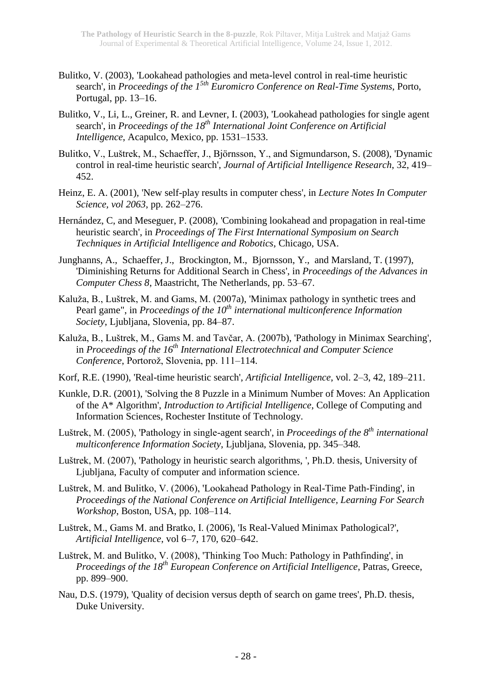- Bulitko, V. (2003), 'Lookahead pathologies and meta-level control in real-time heuristic search', in *Proceedings of the 15th Euromicro Conference on Real-Time Systems*, Porto, Portugal, pp. 13–16.
- Bulitko, V., Li, L., Greiner, R. and Levner, I. (2003), 'Lookahead pathologies for single agent search', in *Proceedings of the 18th International Joint Conference on Artificial Intelligence*, Acapulco, Mexico, pp. 1531–1533.
- Bulitko, V., Luštrek, M., Schaeffer, J., Björnsson, Y., and Sigmundarson, S. (2008), 'Dynamic control in real-time heuristic search', *Journal of Artificial Intelligence Research*, 32, 419– 452.
- Heinz, E. A. (2001), 'New self-play results in computer chess', in *Lecture Notes In Computer Science, vol 2063*, pp. 262–276.
- Hernández, C, and Meseguer, P. (2008), 'Combining lookahead and propagation in real-time heuristic search', in *Proceedings of The First International Symposium on Search Techniques in Artificial Intelligence and Robotics*, Chicago, USA.
- Junghanns, A., Schaeffer, J., Brockington, M., Bjornsson, Y., and Marsland, T. (1997), 'Diminishing Returns for Additional Search in Chess', in *Proceedings of the Advances in Computer Chess 8*, Maastricht, The Netherlands, pp. 53–67.
- Kaluža, B., Luštrek, M. and Gams, M. (2007a), 'Minimax pathology in synthetic trees and Pearl game", in *Proceedings of the 10th international multiconference Information Society*, Ljubljana, Slovenia, pp. 84–87.
- Kaluža, B., Luštrek, M., Gams M. and Tavčar, A. (2007b), 'Pathology in Minimax Searching', in *Proceedings of the 16th International Electrotechnical and Computer Science Conference*, Portorož, Slovenia, pp. 111–114.
- Korf, R.E. (1990), 'Real-time heuristic search', *Artificial Intelligence*, vol. 2–3, 42, 189–211.
- Kunkle, D.R. (2001), 'Solving the 8 Puzzle in a Minimum Number of Moves: An Application of the A\* Algorithm', *Introduction to Artificial Intelligence*, College of Computing and Information Sciences, Rochester Institute of Technology.
- Luštrek, M. (2005), 'Pathology in single-agent search', in *Proceedings of the 8th international multiconference Information Society*, Ljubljana, Slovenia, pp. 345–348.
- Luštrek, M. (2007), 'Pathology in heuristic search algorithms, ', Ph.D. thesis, University of Ljubljana, Faculty of computer and information science.
- Luštrek, M. and Bulitko, V. (2006), 'Lookahead Pathology in Real-Time Path-Finding', in *Proceedings of the National Conference on Artificial Intelligence, Learning For Search Workshop*, Boston, USA, pp. 108–114.
- Luštrek, M., Gams M. and Bratko, I. (2006), 'Is Real-Valued Minimax Pathological?', *Artificial Intelligence*, vol 6–7, 170, 620–642.
- Luštrek, M. and Bulitko, V. (2008), 'Thinking Too Much: Pathology in Pathfinding', in *Proceedings of the 18th European Conference on Artificial Intelligence*, Patras, Greece, pp. 899–900.
- Nau, D.S. (1979), 'Quality of decision versus depth of search on game trees', Ph.D. thesis, Duke University.